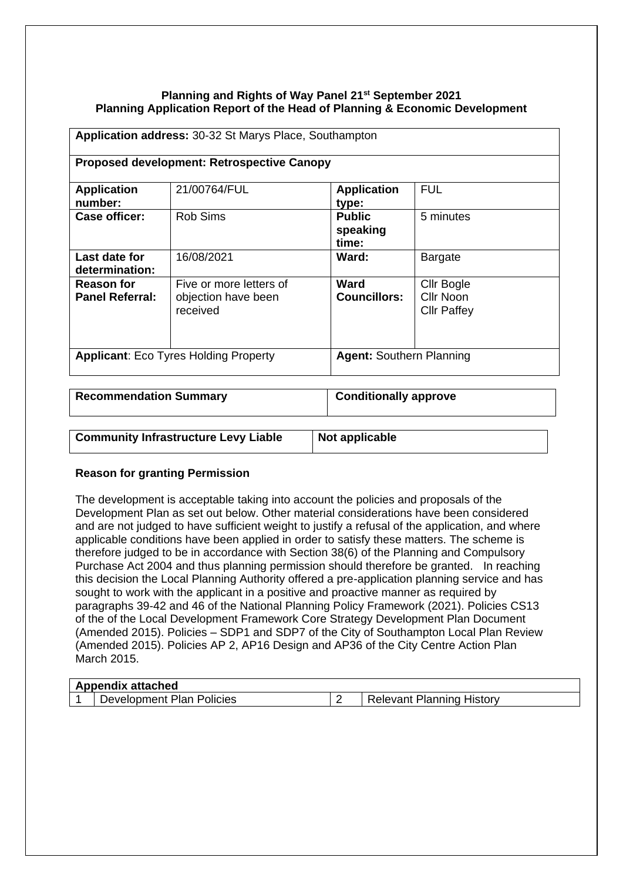# **Planning and Rights of Way Panel 21st September 2021 Planning Application Report of the Head of Planning & Economic Development**

### **Application address:** 30-32 St Marys Place, Southampton

# **Proposed development: Retrospective Canopy**

| <b>Application</b><br>number:                | 21/00764/FUL                                               | <b>Application</b><br>type:        | <b>FUL</b>                                    |
|----------------------------------------------|------------------------------------------------------------|------------------------------------|-----------------------------------------------|
| <b>Case officer:</b>                         | <b>Rob Sims</b>                                            | <b>Public</b><br>speaking<br>time: | 5 minutes                                     |
| Last date for<br>determination:              | 16/08/2021                                                 | Ward:                              | <b>Bargate</b>                                |
| <b>Reason for</b><br><b>Panel Referral:</b>  | Five or more letters of<br>objection have been<br>received | Ward<br><b>Councillors:</b>        | Cllr Bogle<br>Cllr Noon<br><b>Cllr Paffey</b> |
| <b>Applicant: Eco Tyres Holding Property</b> |                                                            | <b>Agent: Southern Planning</b>    |                                               |

# **Recommendation Summary**  Conditionally approve

**Community Infrastructure Levy Liable | Not applicable** 

# **Reason for granting Permission**

The development is acceptable taking into account the policies and proposals of the Development Plan as set out below. Other material considerations have been considered and are not judged to have sufficient weight to justify a refusal of the application, and where applicable conditions have been applied in order to satisfy these matters. The scheme is therefore judged to be in accordance with Section 38(6) of the Planning and Compulsory Purchase Act 2004 and thus planning permission should therefore be granted. In reaching this decision the Local Planning Authority offered a pre-application planning service and has sought to work with the applicant in a positive and proactive manner as required by paragraphs 39-42 and 46 of the National Planning Policy Framework (2021). Policies CS13 of the of the Local Development Framework Core Strategy Development Plan Document (Amended 2015). Policies – SDP1 and SDP7 of the City of Southampton Local Plan Review (Amended 2015). Policies AP 2, AP16 Design and AP36 of the City Centre Action Plan March 2015.

| Appendix attached |                                      |   |                                             |
|-------------------|--------------------------------------|---|---------------------------------------------|
|                   | Policies<br>Develor<br>nei<br>⊺idi i | - | Historv<br>.<br>kelevant<br>∽ianni∟<br>- זכ |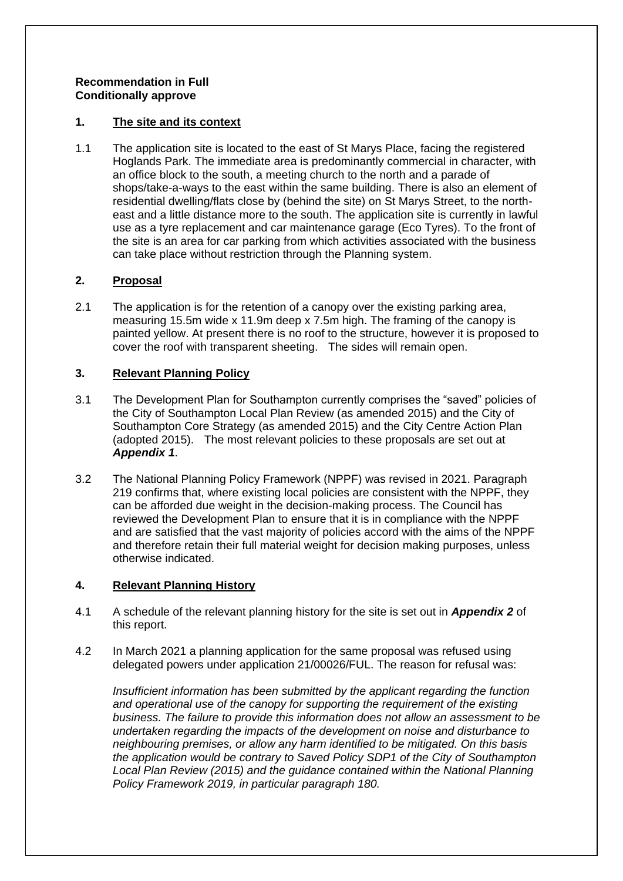# **Recommendation in Full Conditionally approve**

# **1. The site and its context**

1.1 The application site is located to the east of St Marys Place, facing the registered Hoglands Park. The immediate area is predominantly commercial in character, with an office block to the south, a meeting church to the north and a parade of shops/take-a-ways to the east within the same building. There is also an element of residential dwelling/flats close by (behind the site) on St Marys Street, to the northeast and a little distance more to the south. The application site is currently in lawful use as a tyre replacement and car maintenance garage (Eco Tyres). To the front of the site is an area for car parking from which activities associated with the business can take place without restriction through the Planning system.

# **2. Proposal**

2.1 The application is for the retention of a canopy over the existing parking area, measuring 15.5m wide x 11.9m deep x 7.5m high. The framing of the canopy is painted yellow. At present there is no roof to the structure, however it is proposed to cover the roof with transparent sheeting. The sides will remain open.

# **3. Relevant Planning Policy**

- 3.1 The Development Plan for Southampton currently comprises the "saved" policies of the City of Southampton Local Plan Review (as amended 2015) and the City of Southampton Core Strategy (as amended 2015) and the City Centre Action Plan (adopted 2015). The most relevant policies to these proposals are set out at *Appendix 1*.
- 3.2 The National Planning Policy Framework (NPPF) was revised in 2021. Paragraph 219 confirms that, where existing local policies are consistent with the NPPF, they can be afforded due weight in the decision-making process. The Council has reviewed the Development Plan to ensure that it is in compliance with the NPPF and are satisfied that the vast majority of policies accord with the aims of the NPPF and therefore retain their full material weight for decision making purposes, unless otherwise indicated.

# **4. Relevant Planning History**

- 4.1 A schedule of the relevant planning history for the site is set out in *Appendix 2* of this report.
- 4.2 In March 2021 a planning application for the same proposal was refused using delegated powers under application 21/00026/FUL. The reason for refusal was:

*Insufficient information has been submitted by the applicant regarding the function and operational use of the canopy for supporting the requirement of the existing business. The failure to provide this information does not allow an assessment to be undertaken regarding the impacts of the development on noise and disturbance to neighbouring premises, or allow any harm identified to be mitigated. On this basis the application would be contrary to Saved Policy SDP1 of the City of Southampton Local Plan Review (2015) and the guidance contained within the National Planning Policy Framework 2019, in particular paragraph 180.*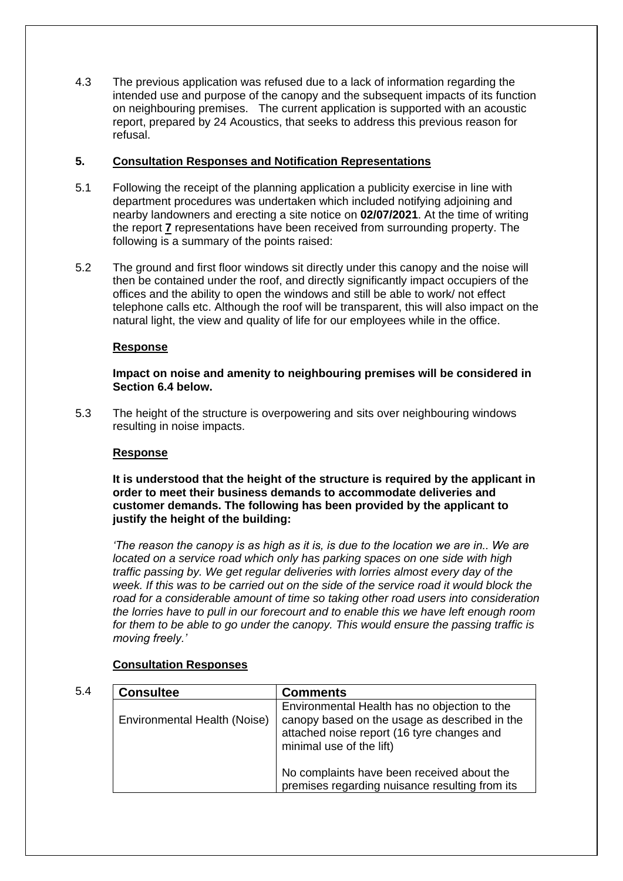4.3 The previous application was refused due to a lack of information regarding the intended use and purpose of the canopy and the subsequent impacts of its function on neighbouring premises. The current application is supported with an acoustic report, prepared by 24 Acoustics, that seeks to address this previous reason for refusal.

# **5. Consultation Responses and Notification Representations**

- 5.1 Following the receipt of the planning application a publicity exercise in line with department procedures was undertaken which included notifying adjoining and nearby landowners and erecting a site notice on **02/07/2021**. At the time of writing the report **7** representations have been received from surrounding property. The following is a summary of the points raised:
- 5.2 The ground and first floor windows sit directly under this canopy and the noise will then be contained under the roof, and directly significantly impact occupiers of the offices and the ability to open the windows and still be able to work/ not effect telephone calls etc. Although the roof will be transparent, this will also impact on the natural light, the view and quality of life for our employees while in the office.

# **Response**

**Impact on noise and amenity to neighbouring premises will be considered in Section 6.4 below.**

5.3 The height of the structure is overpowering and sits over neighbouring windows resulting in noise impacts.

# **Response**

**It is understood that the height of the structure is required by the applicant in order to meet their business demands to accommodate deliveries and customer demands. The following has been provided by the applicant to justify the height of the building:**

*'The reason the canopy is as high as it is, is due to the location we are in.. We are located on a service road which only has parking spaces on one side with high traffic passing by. We get regular deliveries with lorries almost every day of the week. If this was to be carried out on the side of the service road it would block the road for a considerable amount of time so taking other road users into consideration the lorries have to pull in our forecourt and to enable this we have left enough room for them to be able to go under the canopy. This would ensure the passing traffic is moving freely.'*

# **Consultation Responses**

| 5.4 | <b>Consultee</b>             | <b>Comments</b>                                                                                                                                                         |
|-----|------------------------------|-------------------------------------------------------------------------------------------------------------------------------------------------------------------------|
|     | Environmental Health (Noise) | Environmental Health has no objection to the<br>canopy based on the usage as described in the<br>attached noise report (16 tyre changes and<br>minimal use of the lift) |
|     |                              | No complaints have been received about the<br>premises regarding nuisance resulting from its                                                                            |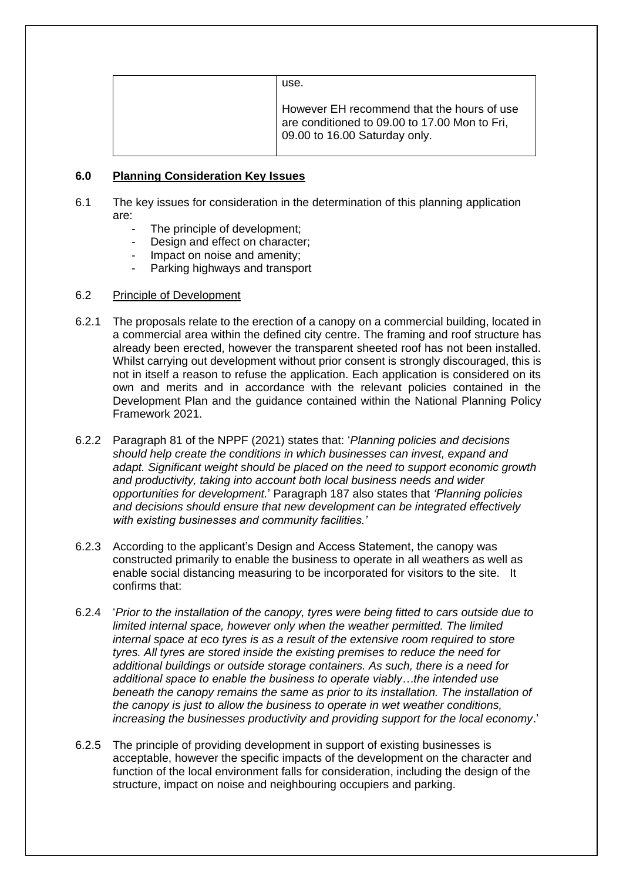| use.                                                                                                                         |
|------------------------------------------------------------------------------------------------------------------------------|
| However EH recommend that the hours of use<br>are conditioned to 09.00 to 17.00 Mon to Fri,<br>09.00 to 16.00 Saturday only. |

# **6.0 Planning Consideration Key Issues**

- 6.1 The key issues for consideration in the determination of this planning application are:
	- The principle of development;
	- Design and effect on character;
	- Impact on noise and amenity;
	- Parking highways and transport

#### 6.2 Principle of Development

- 6.2.1 The proposals relate to the erection of a canopy on a commercial building, located in a commercial area within the defined city centre. The framing and roof structure has already been erected, however the transparent sheeted roof has not been installed. Whilst carrying out development without prior consent is strongly discouraged, this is not in itself a reason to refuse the application. Each application is considered on its own and merits and in accordance with the relevant policies contained in the Development Plan and the guidance contained within the National Planning Policy Framework 2021.
- 6.2.2 Paragraph 81 of the NPPF (2021) states that: '*Planning policies and decisions should help create the conditions in which businesses can invest, expand and adapt. Significant weight should be placed on the need to support economic growth and productivity, taking into account both local business needs and wider opportunities for development.*' Paragraph 187 also states that *'Planning policies and decisions should ensure that new development can be integrated effectively with existing businesses and community facilities.'*
- 6.2.3 According to the applicant's Design and Access Statement, the canopy was constructed primarily to enable the business to operate in all weathers as well as enable social distancing measuring to be incorporated for visitors to the site. It confirms that:
- 6.2.4 '*Prior to the installation of the canopy, tyres were being fitted to cars outside due to*  limited internal space, however only when the weather permitted. The limited *internal space at eco tyres is as a result of the extensive room required to store tyres. All tyres are stored inside the existing premises to reduce the need for additional buildings or outside storage containers. As such, there is a need for additional space to enable the business to operate viably…the intended use beneath the canopy remains the same as prior to its installation. The installation of the canopy is just to allow the business to operate in wet weather conditions, increasing the businesses productivity and providing support for the local economy*.'
- 6.2.5 The principle of providing development in support of existing businesses is acceptable, however the specific impacts of the development on the character and function of the local environment falls for consideration, including the design of the structure, impact on noise and neighbouring occupiers and parking.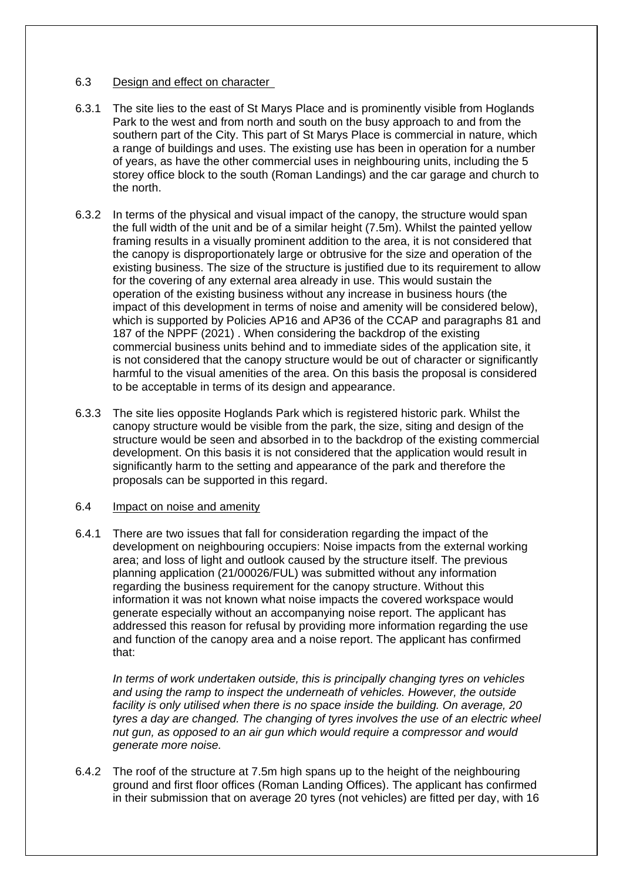#### 6.3 Design and effect on character

- 6.3.1 The site lies to the east of St Marys Place and is prominently visible from Hoglands Park to the west and from north and south on the busy approach to and from the southern part of the City. This part of St Marys Place is commercial in nature, which a range of buildings and uses. The existing use has been in operation for a number of years, as have the other commercial uses in neighbouring units, including the 5 storey office block to the south (Roman Landings) and the car garage and church to the north.
- 6.3.2 In terms of the physical and visual impact of the canopy, the structure would span the full width of the unit and be of a similar height (7.5m). Whilst the painted yellow framing results in a visually prominent addition to the area, it is not considered that the canopy is disproportionately large or obtrusive for the size and operation of the existing business. The size of the structure is justified due to its requirement to allow for the covering of any external area already in use. This would sustain the operation of the existing business without any increase in business hours (the impact of this development in terms of noise and amenity will be considered below), which is supported by Policies AP16 and AP36 of the CCAP and paragraphs 81 and 187 of the NPPF (2021) . When considering the backdrop of the existing commercial business units behind and to immediate sides of the application site, it is not considered that the canopy structure would be out of character or significantly harmful to the visual amenities of the area. On this basis the proposal is considered to be acceptable in terms of its design and appearance.
- 6.3.3 The site lies opposite Hoglands Park which is registered historic park. Whilst the canopy structure would be visible from the park, the size, siting and design of the structure would be seen and absorbed in to the backdrop of the existing commercial development. On this basis it is not considered that the application would result in significantly harm to the setting and appearance of the park and therefore the proposals can be supported in this regard.

# 6.4 Impact on noise and amenity

6.4.1 There are two issues that fall for consideration regarding the impact of the development on neighbouring occupiers: Noise impacts from the external working area; and loss of light and outlook caused by the structure itself. The previous planning application (21/00026/FUL) was submitted without any information regarding the business requirement for the canopy structure. Without this information it was not known what noise impacts the covered workspace would generate especially without an accompanying noise report. The applicant has addressed this reason for refusal by providing more information regarding the use and function of the canopy area and a noise report. The applicant has confirmed that:

*In terms of work undertaken outside, this is principally changing tyres on vehicles and using the ramp to inspect the underneath of vehicles. However, the outside facility is only utilised when there is no space inside the building. On average, 20 tyres a day are changed. The changing of tyres involves the use of an electric wheel nut gun, as opposed to an air gun which would require a compressor and would generate more noise.*

6.4.2 The roof of the structure at 7.5m high spans up to the height of the neighbouring ground and first floor offices (Roman Landing Offices). The applicant has confirmed in their submission that on average 20 tyres (not vehicles) are fitted per day, with 16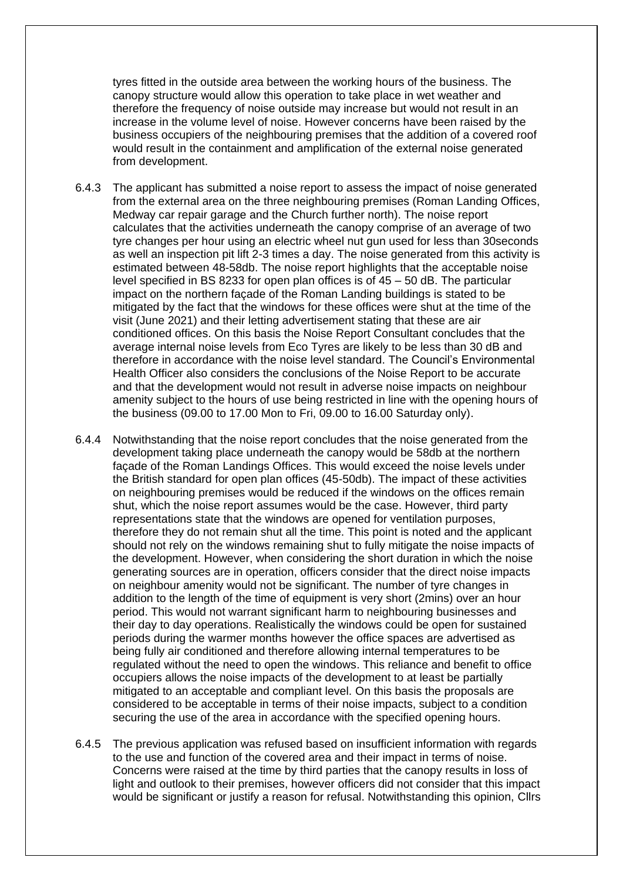tyres fitted in the outside area between the working hours of the business. The canopy structure would allow this operation to take place in wet weather and therefore the frequency of noise outside may increase but would not result in an increase in the volume level of noise. However concerns have been raised by the business occupiers of the neighbouring premises that the addition of a covered roof would result in the containment and amplification of the external noise generated from development.

- 6.4.3 The applicant has submitted a noise report to assess the impact of noise generated from the external area on the three neighbouring premises (Roman Landing Offices, Medway car repair garage and the Church further north). The noise report calculates that the activities underneath the canopy comprise of an average of two tyre changes per hour using an electric wheel nut gun used for less than 30seconds as well an inspection pit lift 2-3 times a day. The noise generated from this activity is estimated between 48-58db. The noise report highlights that the acceptable noise level specified in BS 8233 for open plan offices is of 45 – 50 dB. The particular impact on the northern façade of the Roman Landing buildings is stated to be mitigated by the fact that the windows for these offices were shut at the time of the visit (June 2021) and their letting advertisement stating that these are air conditioned offices. On this basis the Noise Report Consultant concludes that the average internal noise levels from Eco Tyres are likely to be less than 30 dB and therefore in accordance with the noise level standard. The Council's Environmental Health Officer also considers the conclusions of the Noise Report to be accurate and that the development would not result in adverse noise impacts on neighbour amenity subject to the hours of use being restricted in line with the opening hours of the business (09.00 to 17.00 Mon to Fri, 09.00 to 16.00 Saturday only).
- 6.4.4 Notwithstanding that the noise report concludes that the noise generated from the development taking place underneath the canopy would be 58db at the northern façade of the Roman Landings Offices. This would exceed the noise levels under the British standard for open plan offices (45-50db). The impact of these activities on neighbouring premises would be reduced if the windows on the offices remain shut, which the noise report assumes would be the case. However, third party representations state that the windows are opened for ventilation purposes, therefore they do not remain shut all the time. This point is noted and the applicant should not rely on the windows remaining shut to fully mitigate the noise impacts of the development. However, when considering the short duration in which the noise generating sources are in operation, officers consider that the direct noise impacts on neighbour amenity would not be significant. The number of tyre changes in addition to the length of the time of equipment is very short (2mins) over an hour period. This would not warrant significant harm to neighbouring businesses and their day to day operations. Realistically the windows could be open for sustained periods during the warmer months however the office spaces are advertised as being fully air conditioned and therefore allowing internal temperatures to be regulated without the need to open the windows. This reliance and benefit to office occupiers allows the noise impacts of the development to at least be partially mitigated to an acceptable and compliant level. On this basis the proposals are considered to be acceptable in terms of their noise impacts, subject to a condition securing the use of the area in accordance with the specified opening hours.
- 6.4.5 The previous application was refused based on insufficient information with regards to the use and function of the covered area and their impact in terms of noise. Concerns were raised at the time by third parties that the canopy results in loss of light and outlook to their premises, however officers did not consider that this impact would be significant or justify a reason for refusal. Notwithstanding this opinion, Cllrs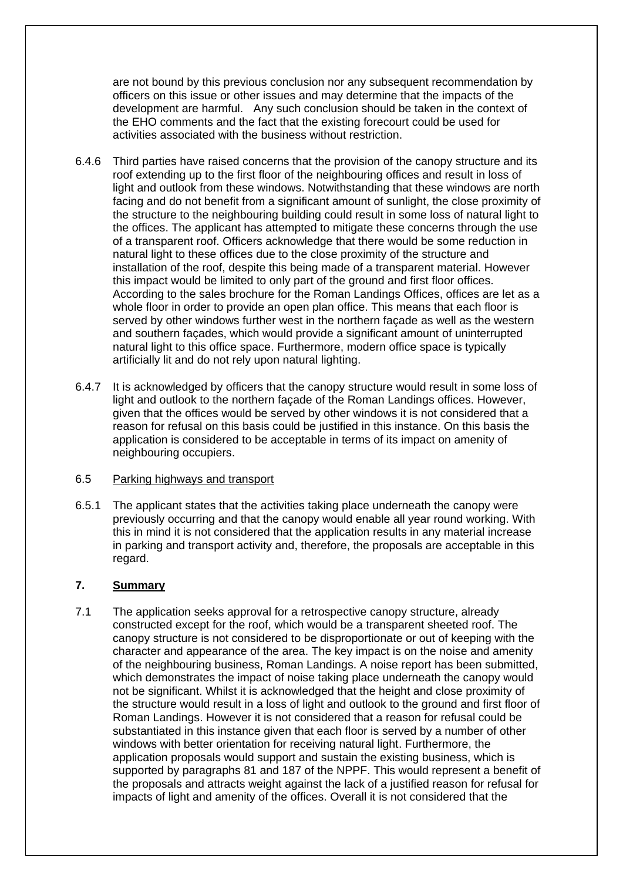are not bound by this previous conclusion nor any subsequent recommendation by officers on this issue or other issues and may determine that the impacts of the development are harmful. Any such conclusion should be taken in the context of the EHO comments and the fact that the existing forecourt could be used for activities associated with the business without restriction.

- 6.4.6 Third parties have raised concerns that the provision of the canopy structure and its roof extending up to the first floor of the neighbouring offices and result in loss of light and outlook from these windows. Notwithstanding that these windows are north facing and do not benefit from a significant amount of sunlight, the close proximity of the structure to the neighbouring building could result in some loss of natural light to the offices. The applicant has attempted to mitigate these concerns through the use of a transparent roof. Officers acknowledge that there would be some reduction in natural light to these offices due to the close proximity of the structure and installation of the roof, despite this being made of a transparent material. However this impact would be limited to only part of the ground and first floor offices. According to the sales brochure for the Roman Landings Offices, offices are let as a whole floor in order to provide an open plan office. This means that each floor is served by other windows further west in the northern façade as well as the western and southern façades, which would provide a significant amount of uninterrupted natural light to this office space. Furthermore, modern office space is typically artificially lit and do not rely upon natural lighting.
- 6.4.7 It is acknowledged by officers that the canopy structure would result in some loss of light and outlook to the northern façade of the Roman Landings offices. However, given that the offices would be served by other windows it is not considered that a reason for refusal on this basis could be justified in this instance. On this basis the application is considered to be acceptable in terms of its impact on amenity of neighbouring occupiers.

#### 6.5 Parking highways and transport

6.5.1 The applicant states that the activities taking place underneath the canopy were previously occurring and that the canopy would enable all year round working. With this in mind it is not considered that the application results in any material increase in parking and transport activity and, therefore, the proposals are acceptable in this regard.

# **7. Summary**

7.1 The application seeks approval for a retrospective canopy structure, already constructed except for the roof, which would be a transparent sheeted roof. The canopy structure is not considered to be disproportionate or out of keeping with the character and appearance of the area. The key impact is on the noise and amenity of the neighbouring business, Roman Landings. A noise report has been submitted, which demonstrates the impact of noise taking place underneath the canopy would not be significant. Whilst it is acknowledged that the height and close proximity of the structure would result in a loss of light and outlook to the ground and first floor of Roman Landings. However it is not considered that a reason for refusal could be substantiated in this instance given that each floor is served by a number of other windows with better orientation for receiving natural light. Furthermore, the application proposals would support and sustain the existing business, which is supported by paragraphs 81 and 187 of the NPPF. This would represent a benefit of the proposals and attracts weight against the lack of a justified reason for refusal for impacts of light and amenity of the offices. Overall it is not considered that the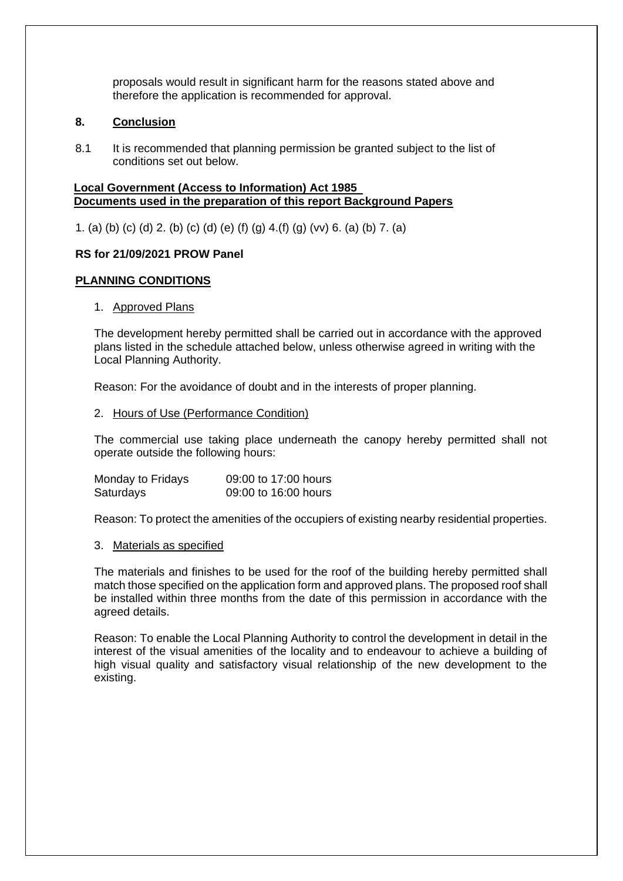proposals would result in significant harm for the reasons stated above and therefore the application is recommended for approval.

#### **8. Conclusion**

8.1 It is recommended that planning permission be granted subject to the list of conditions set out below.

#### **Local Government (Access to Information) Act 1985 Documents used in the preparation of this report Background Papers**

1. (a) (b) (c) (d) 2. (b) (c) (d) (e) (f) (g) 4.(f) (g) (vv) 6. (a) (b) 7. (a)

# **RS for 21/09/2021 PROW Panel**

# **PLANNING CONDITIONS**

#### 1. Approved Plans

The development hereby permitted shall be carried out in accordance with the approved plans listed in the schedule attached below, unless otherwise agreed in writing with the Local Planning Authority.

Reason: For the avoidance of doubt and in the interests of proper planning.

#### 2. Hours of Use (Performance Condition)

The commercial use taking place underneath the canopy hereby permitted shall not operate outside the following hours:

| Monday to Fridays | 09:00 to 17:00 hours |
|-------------------|----------------------|
| Saturdays         | 09:00 to 16:00 hours |

Reason: To protect the amenities of the occupiers of existing nearby residential properties.

#### 3. Materials as specified

The materials and finishes to be used for the roof of the building hereby permitted shall match those specified on the application form and approved plans. The proposed roof shall be installed within three months from the date of this permission in accordance with the agreed details.

Reason: To enable the Local Planning Authority to control the development in detail in the interest of the visual amenities of the locality and to endeavour to achieve a building of high visual quality and satisfactory visual relationship of the new development to the existing.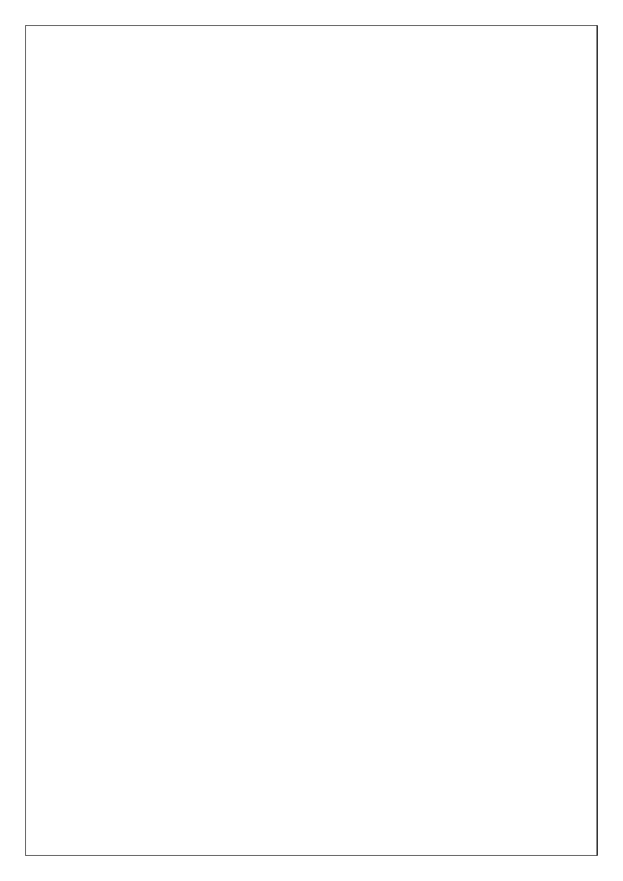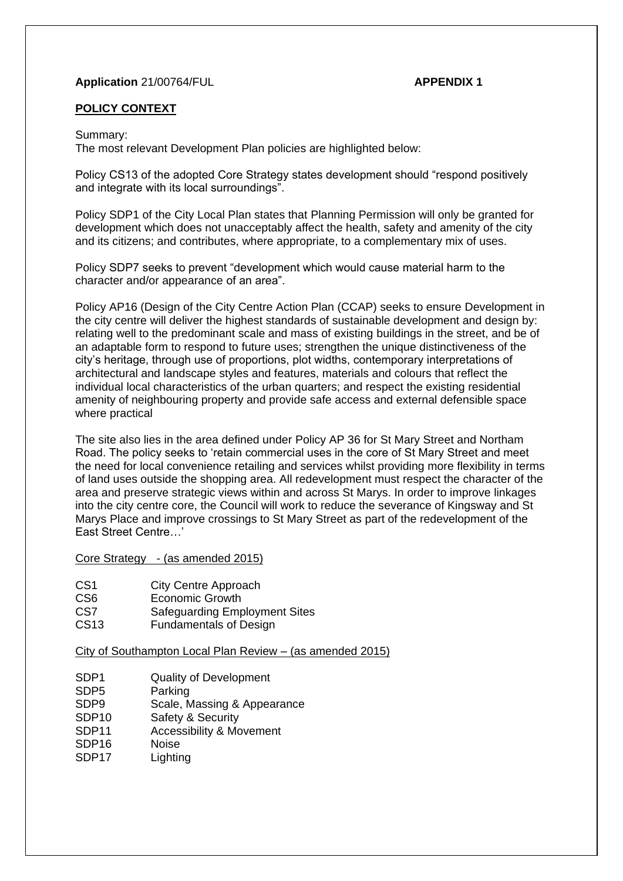#### **Application** 21/00764/FUL **APPENDIX 1**

### **POLICY CONTEXT**

#### Summary:

The most relevant Development Plan policies are highlighted below:

Policy CS13 of the adopted Core Strategy states development should "respond positively and integrate with its local surroundings".

Policy SDP1 of the City Local Plan states that Planning Permission will only be granted for development which does not unacceptably affect the health, safety and amenity of the city and its citizens; and contributes, where appropriate, to a complementary mix of uses.

Policy SDP7 seeks to prevent "development which would cause material harm to the character and/or appearance of an area".

Policy AP16 (Design of the City Centre Action Plan (CCAP) seeks to ensure Development in the city centre will deliver the highest standards of sustainable development and design by: relating well to the predominant scale and mass of existing buildings in the street, and be of an adaptable form to respond to future uses; strengthen the unique distinctiveness of the city's heritage, through use of proportions, plot widths, contemporary interpretations of architectural and landscape styles and features, materials and colours that reflect the individual local characteristics of the urban quarters; and respect the existing residential amenity of neighbouring property and provide safe access and external defensible space where practical

The site also lies in the area defined under Policy AP 36 for St Mary Street and Northam Road. The policy seeks to 'retain commercial uses in the core of St Mary Street and meet the need for local convenience retailing and services whilst providing more flexibility in terms of land uses outside the shopping area. All redevelopment must respect the character of the area and preserve strategic views within and across St Marys. In order to improve linkages into the city centre core, the Council will work to reduce the severance of Kingsway and St Marys Place and improve crossings to St Mary Street as part of the redevelopment of the East Street Centre…'

Core Strategy - (as amended 2015)

- CS1 City Centre Approach
- CS6 Economic Growth
- CS7 Safeguarding Employment Sites
- CS13 Fundamentals of Design

City of Southampton Local Plan Review – (as amended 2015)

- SDP1 Quality of Development
- SDP5 Parking
- SDP9 Scale, Massing & Appearance
- SDP10 Safety & Security
- SDP11 Accessibility & Movement
- SDP16 Noise
- SDP17 Lighting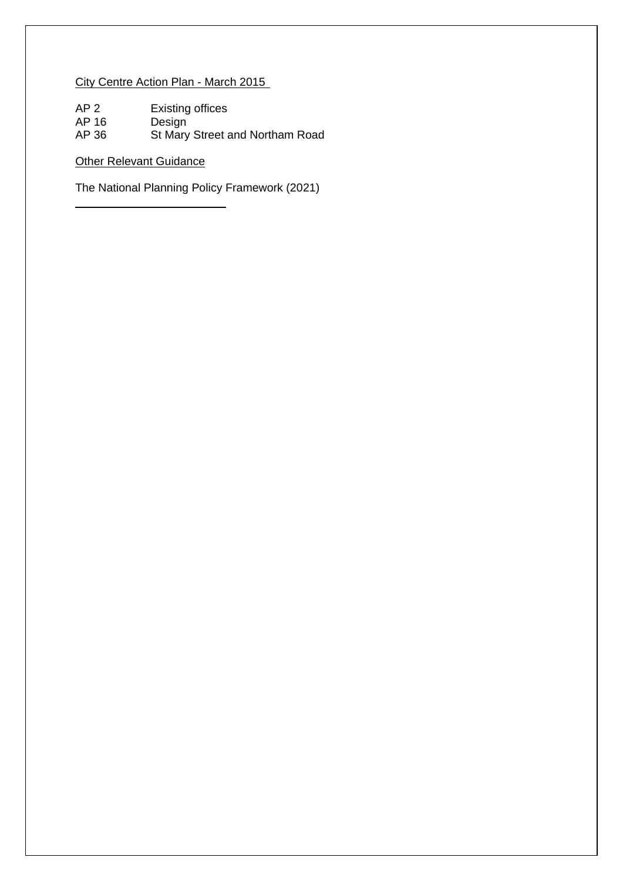City Centre Action Plan - March 2015

| AP <sub>2</sub> | <b>Existing offices</b> |
|-----------------|-------------------------|
| AP 16           | Design                  |

AP 36 St Mary Street and Northam Road

**Other Relevant Guidance** 

The National Planning Policy Framework (2021)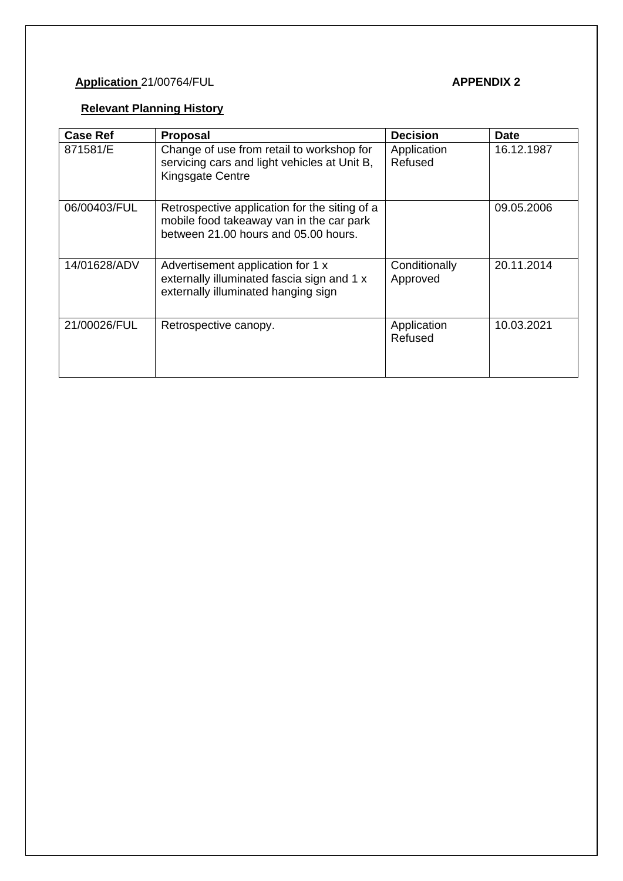# **Application** 21/00764/FUL **APPENDIX 2**

# **Relevant Planning History**

| <b>Case Ref</b> | <b>Proposal</b>                                                                                                                   | <b>Decision</b>           | <b>Date</b> |
|-----------------|-----------------------------------------------------------------------------------------------------------------------------------|---------------------------|-------------|
| 871581/E        | Change of use from retail to workshop for<br>servicing cars and light vehicles at Unit B,<br>Kingsgate Centre                     | Application<br>Refused    | 16.12.1987  |
| 06/00403/FUL    | Retrospective application for the siting of a<br>mobile food takeaway van in the car park<br>between 21.00 hours and 05.00 hours. |                           | 09.05.2006  |
| 14/01628/ADV    | Advertisement application for 1 x<br>externally illuminated fascia sign and 1 x<br>externally illuminated hanging sign            | Conditionally<br>Approved | 20.11.2014  |
| 21/00026/FUL    | Retrospective canopy.                                                                                                             | Application<br>Refused    | 10.03.2021  |